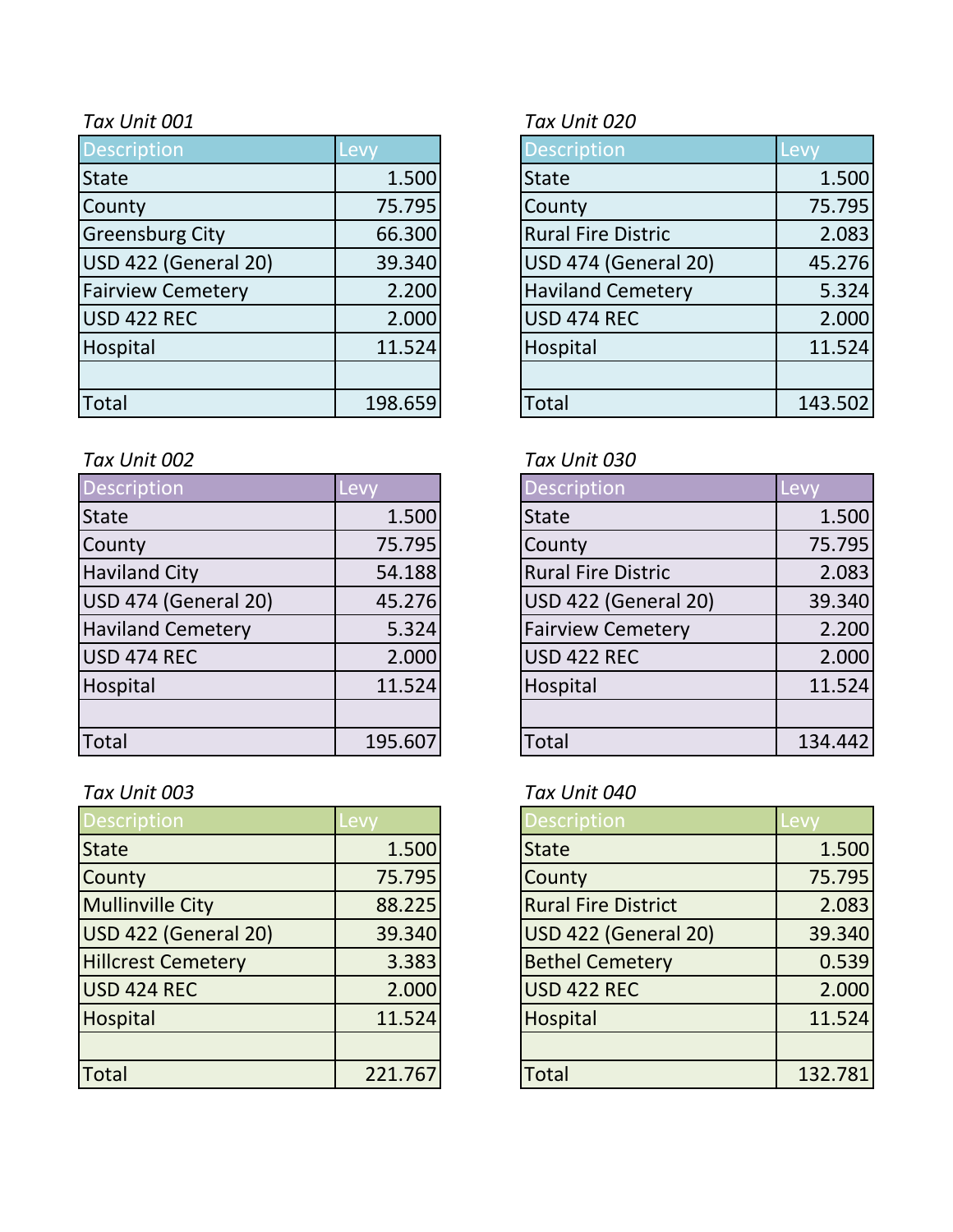| <b>Description</b>       | Levy    | <b>Description</b>        | Levy    |
|--------------------------|---------|---------------------------|---------|
| <b>State</b>             | 1.500   | <b>State</b>              | 1.500   |
| County                   | 75.795  | County                    | 75.795  |
| <b>Greensburg City</b>   | 66.300  | <b>Rural Fire Distric</b> | 2.083   |
| USD 422 (General 20)     | 39.340  | USD 474 (General 20)      | 45.276  |
| <b>Fairview Cemetery</b> | 2.200   | <b>Haviland Cemetery</b>  | 5.324   |
| USD 422 REC              | 2.000   | USD 474 REC               | 2.000   |
| Hospital                 | 11.524  | Hospital                  | 11.524  |
|                          |         |                           |         |
| Total                    | 198.659 | Total                     | 143.502 |

### *Tax Unit 002 Tax Unit 030*

| Description              | Levy    | <b>Description</b>          | Levy    |
|--------------------------|---------|-----------------------------|---------|
| <b>State</b>             | 1.500   | <b>State</b>                | 1.500   |
| County                   | 75.795  | County                      | 75.795  |
| <b>Haviland City</b>     | 54.188  | <b>Rural Fire Distric</b>   | 2.083   |
| USD 474 (General 20)     | 45.276  | <b>USD 422 (General 20)</b> | 39.340  |
| <b>Haviland Cemetery</b> | 5.324   | <b>Fairview Cemetery</b>    | 2.200   |
| USD 474 REC              | 2.000   | <b>USD 422 REC</b>          | 2.000   |
| Hospital                 | 11.524  | Hospital                    | 11.524  |
|                          |         |                             |         |
| <b>Total</b>             | 195.607 | Total                       | 134.442 |

| <b>Description</b>        | Levy    | <b>Description</b>         | Levy    |
|---------------------------|---------|----------------------------|---------|
| <b>State</b>              | 1.500   | <b>State</b>               | 1.500   |
| County                    | 75.795  | County                     | 75.795  |
| <b>Mullinville City</b>   | 88.225  | <b>Rural Fire District</b> | 2.083   |
| USD 422 (General 20)      | 39.340  | USD 422 (General 20)       | 39.340  |
| <b>Hillcrest Cemetery</b> | 3.383   | <b>Bethel Cemetery</b>     | 0.539   |
| USD 424 REC               | 2.000   | <b>USD 422 REC</b>         | 2.000   |
| Hospital                  | 11.524  | Hospital                   | 11.524  |
|                           |         |                            |         |
| Total                     | 221.767 | <b>Total</b>               | 132.781 |

## *Tax Unit 001 Tax Unit 020*

| Description                 | Levy    |
|-----------------------------|---------|
| <b>State</b>                | 1.500   |
| County                      | 75.795  |
| <b>Rural Fire Distric</b>   | 2.083   |
| <b>USD 474 (General 20)</b> | 45.276  |
| <b>Haviland Cemetery</b>    | 5.324   |
| <b>USD 474 REC</b>          | 2.000   |
| Hospital                    | 11.524  |
|                             |         |
| <b>Total</b>                | 143.502 |

| <b>Description</b>        | Lev    |
|---------------------------|--------|
| <b>State</b>              | 1.500  |
| County                    | 75.795 |
| <b>Rural Fire Distric</b> | 2.083  |
| USD 422 (General 20)      | 39.340 |
| <b>Fairview Cemetery</b>  | 2.200  |
| USD 422 REC               | 2.000  |
| Hospital                  | 11.524 |
|                           |        |
| Total                     | 134.44 |

# *Tax Unit 003 Tax Unit 040*

| <b>Description</b>         | Levv    |
|----------------------------|---------|
| <b>State</b>               | 1.500   |
| County                     | 75.795  |
| <b>Rural Fire District</b> | 2.083   |
| USD 422 (General 20)       | 39.340  |
| <b>Bethel Cemetery</b>     | 0.539   |
| <b>USD 422 REC</b>         | 2.000   |
| <b>Hospital</b>            | 11.524  |
|                            |         |
| Total                      | 132.781 |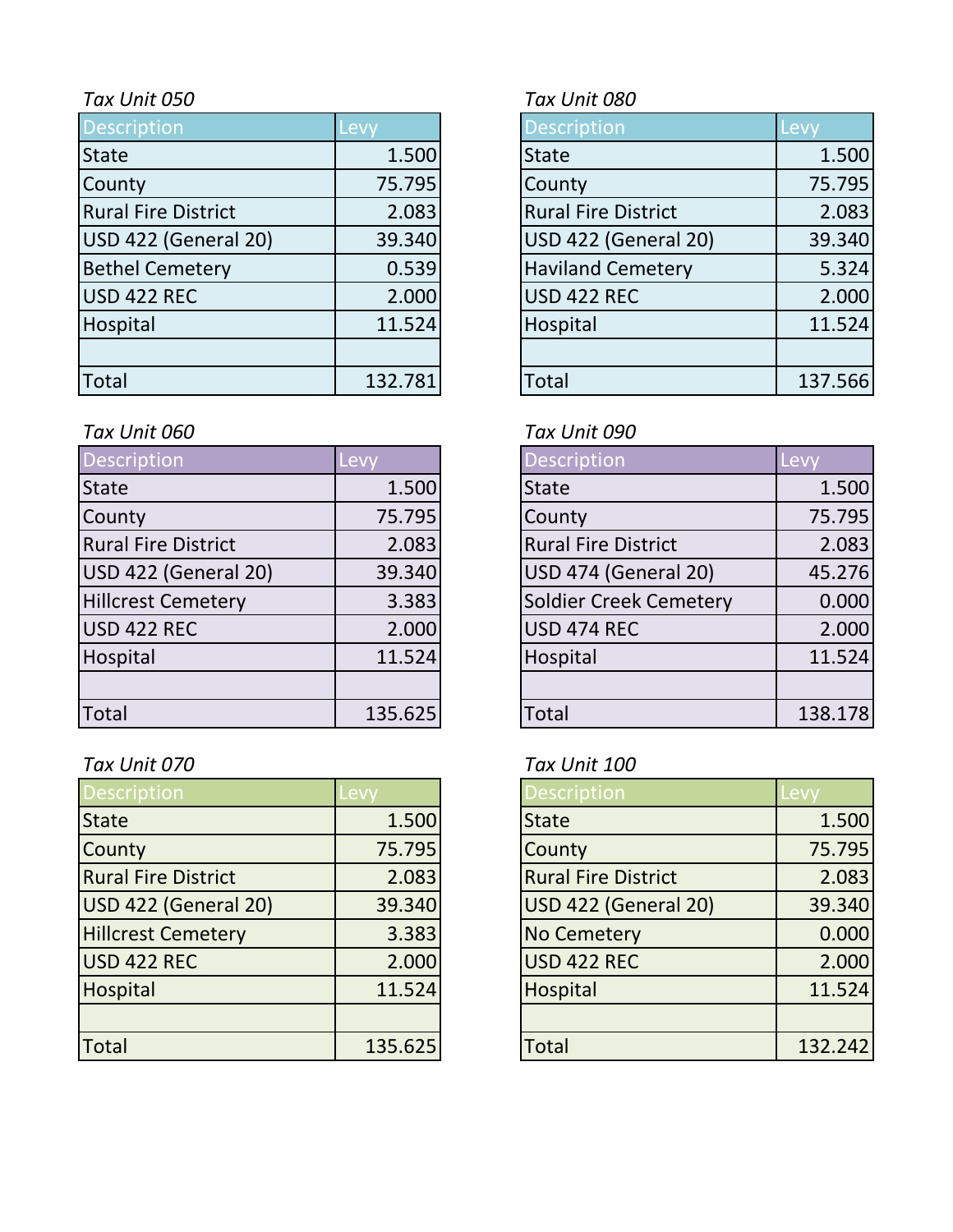| Description                | Levy    | <b>Description</b>         | Levy    |
|----------------------------|---------|----------------------------|---------|
| <b>State</b>               | 1.500   | <b>State</b>               | 1.500   |
| County                     | 75.795  | County                     | 75.795  |
| <b>Rural Fire District</b> | 2.083   | <b>Rural Fire District</b> | 2.083   |
| USD 422 (General 20)       | 39.340  | USD 422 (General 20)       | 39.340  |
| <b>Bethel Cemetery</b>     | 0.539   | <b>Haviland Cemetery</b>   | 5.324   |
| USD 422 REC                | 2.000   | <b>USD 422 REC</b>         | 2.000   |
| Hospital                   | 11.524  | Hospital                   | 11.524  |
|                            |         |                            |         |
| Total                      | 132.781 | <b>Total</b>               | 137.566 |

# *Tax Unit 060 Tax Unit 090*

| Description                | Levy    | <b>Description</b>         | Levy    |
|----------------------------|---------|----------------------------|---------|
| <b>State</b>               | 1.500   | <b>State</b>               | 1.500   |
| County                     | 75.795  | County                     | 75.795  |
| <b>Rural Fire District</b> | 2.083   | <b>Rural Fire District</b> | 2.083   |
| USD 422 (General 20)       | 39.340  | USD 474 (General 20)       | 45.276  |
| <b>Hillcrest Cemetery</b>  | 3.383   | Soldier Creek Cemetery     | 0.000   |
| USD 422 REC                | 2.000   | <b>USD 474 REC</b>         | 2.000   |
| Hospital                   | 11.524  | Hospital                   | 11.524  |
|                            |         |                            |         |
| <b>Total</b>               | 135.625 | Total                      | 138.178 |

# *Tax Unit 070 Tax Unit 100*

| <b>Description</b>         | .evv    | <b>Description</b>         | -evy    |
|----------------------------|---------|----------------------------|---------|
| <b>State</b>               | 1.500   | <b>State</b>               | 1.500   |
| County                     | 75.795  | County                     | 75.795  |
| <b>Rural Fire District</b> | 2.083   | <b>Rural Fire District</b> | 2.083   |
| USD 422 (General 20)       | 39.340  | USD 422 (General 20)       | 39.340  |
| <b>Hillcrest Cemetery</b>  | 3.383   | <b>No Cemetery</b>         | 0.000   |
| USD 422 REC                | 2.000   | USD 422 REC                | 2.000   |
| Hospital                   | 11.524  | Hospital                   | 11.524  |
|                            |         |                            |         |
| <b>Total</b>               | 135.625 | <b>Total</b>               | 132.242 |

# *Tax Unit 050 Tax Unit 080*

| <b>Description</b>          | Levy    |
|-----------------------------|---------|
| <b>State</b>                | 1.500   |
| County                      | 75.795  |
| <b>Rural Fire District</b>  | 2.083   |
| <b>USD 422 (General 20)</b> | 39.340  |
| <b>Haviland Cemetery</b>    | 5.324   |
| <b>USD 422 REC</b>          | 2.000   |
| Hospital                    | 11.524  |
|                             |         |
| otal <sup>-</sup>           | 137.566 |

| <b>Description</b>            | <b>Lev</b> |
|-------------------------------|------------|
| <b>State</b>                  | 1.500      |
| County                        | 75.795     |
| <b>Rural Fire District</b>    | 2.083      |
| <b>USD 474 (General 20)</b>   | 45.276     |
| <b>Soldier Creek Cemetery</b> | 0.000      |
| <b>USD 474 REC</b>            | 2.000      |
| Hospital                      | 11.524     |
|                               |            |
| Total                         | 138.178    |

| <b>Description</b>         | Levy    |
|----------------------------|---------|
| <b>State</b>               | 1.500   |
| County                     | 75.795  |
| <b>Rural Fire District</b> | 2.083   |
| USD 422 (General 20)       | 39.340  |
| <b>No Cemetery</b>         | 0.000   |
| <b>USD 422 REC</b>         | 2.000   |
| Hospital                   | 11.524  |
|                            |         |
| Total                      | 132.242 |